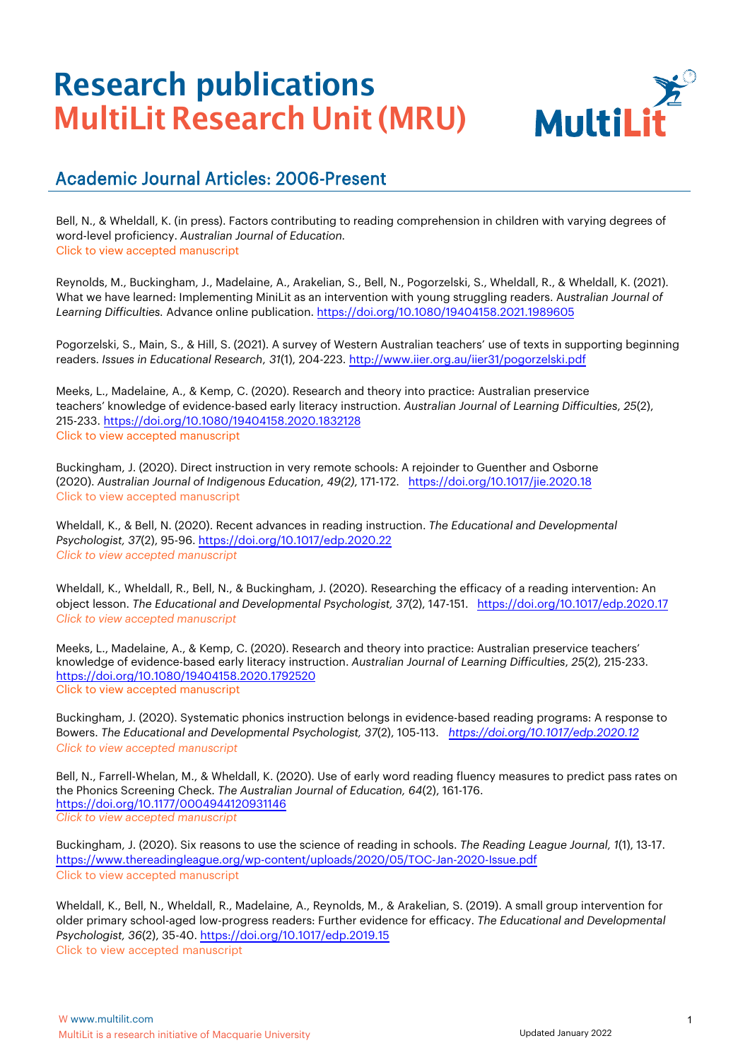

#### Academic Journal Articles: 2006-Present

Bell, N., & Wheldall, K. (in press). Factors contributing to reading comprehension in children with varying degrees of word-level proficiency. *Australian Journal of Education.* [Click to view accepted manuscript](https://multilit-ecomm-media.s3.ap-southeast-2.amazonaws.com/wp-content/uploads/2022/01/06121620/Bell-Wheldall-2021-Factors-contributing-to-reading-comprehension.pdf)

Reynolds, M., Buckingham, J., Madelaine, A., Arakelian, S., Bell, N., Pogorzelski, S., Wheldall, R., & Wheldall, K. (2021). What we have learned: Implementing MiniLit as an intervention with young struggling readers. A*ustralian Journal of Learning Difficulties.* [Advance online publication. https://doi.org/10.1080/19404158.2021.198](https://www.tandfonline.com/doi/full/10.1080/19404158.2020.1832128)[9605](https://doi.org/10.1080/19404158.2021.1989605)

Pogorzelski, S., Main, S., & Hill, S. (2021). A survey of Western Australian teachers' use of texts in supporting beginning readers. *Issues in Educational Research*, *31*(1), 204-223. [http://www.iier.org.au/iier31/pogorzelski.pdf](https://www.cambridge.org/core/journals/australian-journal-of-indigenous-education/article/abs/direct-instruction-in-very-remote-schools-a-rejoinder-to-guenther-and-osborne-2020/6DCEA4C866F1750EE67720854E427B0E)

Meeks, L., Madelaine, A., & Kemp, C. (2020). Research and theory into practice: Australian preservice teachers' knowledge of evidence-based early literacy instruction. *Australian Journal of Learning Difficulties*, *25*(2), 215-233. [https://doi.org/10.10](https://doi.org/10.1080/19404158.2020.1832128)[80/19404158.2020.1832128](https://www.tandfonline.com/doi/full/10.1017/edp.2020.22) [Click to view accepted manuscript](https://multilit-ecomm-media.s3.ap-southeast-2.amazonaws.com/wp-content/uploads/2022/01/06121627/Meeks-et-al-2020-Research-and-theory-into-practice.pdf)

Buckingham, J. (2020). Direct instruction in very remote schools: A rejoinder to Guenther and Osborne (2020). *Australian Journal of Indigenous Education*, *49(2)*, 171-172. <https://doi.org/10.1017/jie.2020.18> [Click to view accepted manuscript](https://multilit-ecomm-media.s3.ap-southeast-2.amazonaws.com/wp-content/uploads/2021/07/12144407/Buckingham-2020-Direct-Instruction-in-very-remote-schools-A-rejoinder-to-Guenther-and-Osborne.pdf)

Wheldall, K., & Bell, N. (2020). Recent advances in reading instruction. *The Educational and Developmental Psychologist, 37*(2), 95-96. <https://doi.org/10.1017/edp.2020.22> *[Click to view accepted manuscript](https://www.tandfonline.com/doi/full/10.1080/19404158.2020.1792520)*

Wheldall, K., Wheldall, R., Bell, N., & Buckingham, J. (2020). Researching the efficacy of a reading intervention: An object lesson. *The Educational and Developmental Psychologist, 37*(2), 147-151. <https://doi.org/10.1017/edp.2020.17> *[Click to view accepted manuscript](https://multilit-ecomm-media.s3.ap-southeast-2.amazonaws.com/wp-content/uploads/2021/07/14153225/Wheldall-et-al-2020-AM-Researching-the-efficacy.pdf)*

Meeks, L., Madelaine, A., & Kemp, C. (2020). Research and theory into practice: Australian preservice teachers' knowledge of evidence-based early literacy instruction. *Australian Journal of Learning Difficulties*, *25*(2), 215-233. <https://doi.org/10.1080/19404158.2020.1792520> [Click to view accepted manuscript](https://multilit-ecomm-media.s3.ap-southeast-2.amazonaws.com/wp-content/uploads/2022/01/06121627/Meeks-et-al-2020-Research-and-theory-into-practice.pdf)

Buckingham, J. (2020). Systematic phonics instruction belongs in evidence-based reading programs: A response to Bowers. *The Educational and Developmental Psychologist, 37*(2), 105-113. *<https://doi.org/10.1017/edp.2020.12> [Click to view accepted manuscript](https://multilit-ecomm-media.s3.ap-southeast-2.amazonaws.com/wp-content/uploads/2021/07/12162934/Buckingham-2020-AM-Systematic-phonics-instruction-belongs-in-evidence.pdf)*

Bell, N., Farrell-Whelan, M., & Wheldall, K. (2020). Use of early word reading fluency measures to predict pass rates on the Phonics Screening Check. *The Australian Journal of Education, 64*(2), 161-176. <https://doi.org/10.1177/0004944120931146> *[Click to view accepted manuscript](https://multilit-ecomm-media.s3.ap-southeast-2.amazonaws.com/wp-content/uploads/2021/07/13163956/Bell-et-al-2020-AM-Use-of-early-word-reading.pdf)*

Buckingham, J. (2020). Six reasons to use the science of reading in schools. *The Reading League Journal, 1*(1), 13[-17.](https://www.thereadingleague.org/wp-content/uploads/2020/05/TOC-Jan-2020-Issue.pdf) <https://www.thereadingleague.org/wp-content/uploads/2020/05/TOC-Jan-2020-Issue.pdf> [Click to view accepted manuscript](https://multilit-ecomm-media.s3.ap-southeast-2.amazonaws.com/wp-content/uploads/2021/07/13163958/Buckingham-2020-AM-Six-reasons-to-use-the-Science-of-Reading-in-schools.pdf)

Wheldall, K., Bell, N., Wheldall, R., Madelaine, A., Reynolds, M., & Arakelian, S. (2019). A small group intervention for older primary school-aged low-progress readers: Further evidence for efficacy. *The [Educational](https://www.tandfonline.com/doi/full/10.1017/edp.2019.15) and Developmental Psychologist, 36*(2), 35-40. <https://doi.org/10.1017/edp.2019.15> [Click to view accepted manuscript](https://multilit-ecomm-media.s3.ap-southeast-2.amazonaws.com/wp-content/uploads/2021/07/14154103/Wheldall-et-al-2019-AM-A-small-group-intervention-for-older.pdf)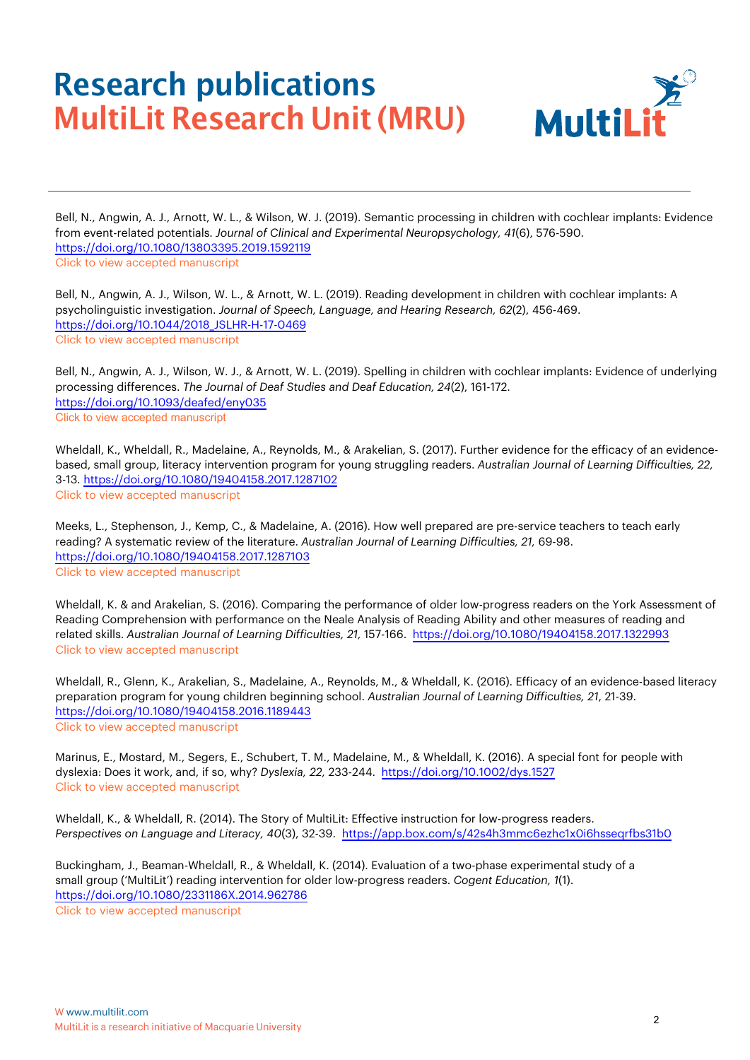

Bell, N., Angwin, A. J., Arnott, W. L., & Wilson, W. J. (2019). Semantic processing in children with cochlear implants: Evidence from event-related potentials. *Journal of Clinical and Experimental Neuropsychology, 41*(6), 576-590. <https://doi.org/10.1080/13803395.2019.1592119> [Click to view accepted manuscript](https://multilit-ecomm-media.s3.ap-southeast-2.amazonaws.com/wp-content/uploads/2021/07/14154740/Bell-et-al-2019-AM-Semantic-processing-in-children-with-cochlear-implants.pdf)

Bell, N., Angwin, A. J., Wilson, W. L., & Arnott, W. L. (2019). Reading development in children with cochlear implants: A psycholinguistic investigation. *Journal of Speech, Language, and Hearing Research, 62*(2), 456-469. [https://doi.org/10.1044/2018\\_JSLHR-H-17-0469](https://doi.org/10.1044/2018_JSLHR-H-17-0469) [Click to view accepted manuscript](https://multilit-ecomm-media.s3.ap-southeast-2.amazonaws.com/wp-content/uploads/2021/07/14154946/Bell-et-al-2019-AM-Reading-development-in-children-with-cochlear-implants.pdf)

Bell, N., Angwin, A. J., Wilson, W. J., & Arnott, W. L. (2019). Spelling in children with cochlear implants: Evidence of underlying [processing differences.](https://doi.org/10.1093/deafed/eny035) *The Journal of Deaf Studies and Deaf Education, 24*(2), 161-172. <https://doi.org/10.1093/deafed/eny035> [Click to view accepted manuscript](https://multilit-ecomm-media.s3.ap-southeast-2.amazonaws.com/wp-content/uploads/2021/07/14155015/Bell-et-al-2019-AM-Spelling-in-children-with-cochlear-implants.pdf)

Wheldall, K., Wheldall, R., Madelaine, A., Reynolds, M., & Arakelian, [S. \(2017\). Further](https://www.tandfonline.com/doi/full/10.1080/19404158.2017.1287102) evidence for the efficacy of an evidencebased, small group, literacy intervention program for young struggling readers. *Australian Journal of Learning Difficulties, 22,*  3-13*.* <https://doi.org/10.1080/19404158.2017.1287102> [Click to view accepted manuscript](https://multilit-ecomm-media.s3.ap-southeast-2.amazonaws.com/wp-content/uploads/2021/07/14155517/Wheldall-et-al-2017-AM-Further-evidence-for-the-efficacy.pdf)

Meeks, L., [Stephenson, J.,](https://www.tandfonline.com/doi/full/10.1080/19404158.2017.1287103) Kemp, C., & Madelaine, A. (2016). How well prepared are pre-service teachers to teach early reading? A systematic review of the literature. *Australian Journal of Learning Difficulties, 21,* 69-98. <https://doi.org/10.1080/19404158.2017.1287103> [Click to view accepted manuscript](https://multilit-ecomm-media.s3.ap-southeast-2.amazonaws.com/wp-content/uploads/2021/07/14091741/Meeks-et-al-2016-How-well-prepared-are-pre-service-teachers.pdf)

Wheldall, K. & and Arakelian, S. (2016). Comparing [the performance](https://www.tandfonline.com/doi/full/10.1080/19404158.2017.1322993) of older low-progress readers on the York Assessment of Reading Comprehension with performance on the Neale Analysis of Reading Ability and other measures of reading and related skills. *Australian Journal of Learning Difficulties, 21,* 157-166. <https://doi.org/10.1080/19404158.2017.1322993> Click to view accepted [manuscript](https://multilit-ecomm-media.s3.ap-southeast-2.amazonaws.com/wp-content/uploads/2021/07/14092347/Wheldall-Arakelian-2017-AM-Comparing-the-performance-of-older-low-progress-readers.pdf)

Wheldall, R., Glenn, K., Arakelian, S., Madelaine, A., [Reynolds, M.,](https://www.tandfonline.com/doi/full/10.1080/19404158.2016.1189443) & Wheldall, K. (2016). Efficacy of an evidence-based literacy preparation program for young children beginning school. *Australian Journal of Learning Difficulties, 21*, 21-39. [https://doi.org/10.1080/19404158.2016.1189443](https://
doi.org/10.1080/19404158.2016.1189443) [Click to view accepted manuscript](https://multilit-ecomm-media.s3.ap-southeast-2.amazonaws.com/wp-content/uploads/2021/07/14092602/Wheldall-et-al-2016-AM-Efficacy-of-an-evidence-based-literacy-preparation-program-1.pdf)

Marinus, E., Mostard, M., Segers, E., Schubert, T. M., Madelaine, M., & Wheldall, K. (2016). A special font for people with dyslexia: Does it work, and, if so, why? *Dyslexia, 22,* 233-244. <https://doi.org/10.1002/dys.1527> [Click to view accepted manuscript](https://multilit-ecomm-media.s3.ap-southeast-2.amazonaws.com/wp-content/uploads/2021/07/15122145/Marinus-et-al-2016-A-special-font-for-people-with-dyslexia.pdf)

Wheldall, K., & Wheldall, R. (2014). The Story of MultiLit: Effective instruction for low-progress readers. *Perspectives on Language and Literacy, 40*(3), 32-39. <https://app.box.com/s/42s4h3mmc6ezhc1x0i6hsseqrfbs31b0>

Buckingham, J., [Beaman-Wheldall, R.,](https://www.tandfonline.com/doi/full/10.1080/2331186X.2014.962786) & Wheldall, K. (2014). Evaluation of a two-phase experimental study of a small group ('MultiLit') reading intervention for older low-progress readers. *Cogent Education, 1*(1). <https://doi.org/10.1080/2331186X.2014.962786> [Click to view accepted manuscript](https://multilit-ecomm-media.s3.ap-southeast-2.amazonaws.com/wp-content/uploads/2021/07/14094105/Buckingham-et-al-2014-AM-Evaluation-of-a-two-phase-implementation-of-a-small-group-MultiLit-reading-intervention-for-older-low-progress-readers.pdf)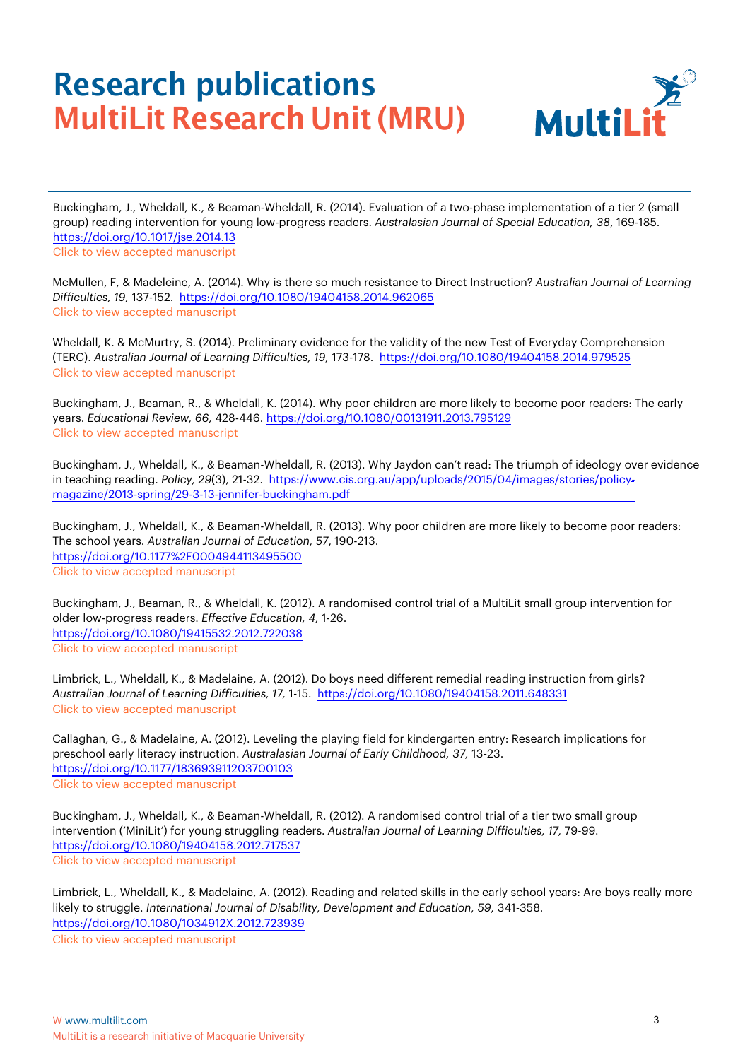

Buckingham, J., Wheldall, K., & Beaman-Wheldall, R. (2014). Evaluation of a two-phase implementation of a tier 2 (small group) reading intervention for young low-progress readers. *Australasian Journal of Special Education, 38*, 169-185. [https://doi.org/10.1017/jse.20](https://doi.org/10.1017/jse.2014.13Click)14.13 [Click to vie](https://multilit-ecomm-media.s3.ap-southeast-2.amazonaws.com/wp-content/uploads/2021/07/14160039/Buckingham-et-al-2014-AM-Evaluation-of-a-two-phase-implementation-of-a-Tier-2.pdf)[w accepted manuscript](https://www.cambridge.org/core/journals/australasian-journal-of-special-education/article/abs/evaluation-of-a-twophase-implementation-of-a-tier2-small-group-reading-intervention-for-young-lowprogress-readers/E33D4FF2C71D05776D1FED04F9140080)

[McMullen, F,](https://www.cambridge.org/core/journals/australasian-journal-of-special-education/article/abs/evaluation-of-a-twophase-implementation-of-a-tier2-small-group-reading-intervention-for-young-lowprogress-readers/E33D4FF2C71D05776D1FED04F9140080) & Madeleine, A. (2014). Why is there so much resistance to Direct Instruction? *Australian Journal of Learning Difficulties, 19,* 137-152. <https://doi.org/10.1080/19404158.2014.962065> [Click to view accepted manuscript](https://multilit-ecomm-media.s3.ap-southeast-2.amazonaws.com/wp-content/uploads/2021/07/14160227/McMullen-Madelaine-2014-Why-is-there-so-much-resistance-to-Direct-Instruction.pdf)

Wheldall, K. & McMurtry, S. (2014). Preliminary [evidence for](https://www.tandfonline.com/doi/abs/10.1080/19404158.2014.962065) the validity of the new Test of Everyday Comprehension (TERC). *Australian Journal of Learning Difficulties, 19,* 173-178. <https://doi.org/10.1080/19404158.2014.979525> [Click to view accepted manuscript](https://multilit-ecomm-media.s3.ap-southeast-2.amazonaws.com/wp-content/uploads/2021/07/14104412/Wheldall-McMurtry-2014-AM-Preliminary-evidence-for-the-validity-of-the-new-TERC.pdf)

[Buckingham, J.,](https://www.tandfonline.com/doi/abs/10.1080/19404158.2014.979525) Beaman, R., & Wheldall, K. (2014). Why poor children are more likely to become poor readers: The early years. *Educational Review, 66,* 428-446. <https://doi.org/10.1080/00131911.2013.795129> [Click to view accepted manuscript](https://multilit-ecomm-media.s3.ap-southeast-2.amazonaws.com/wp-content/uploads/2021/07/15122514/Buckingham-et-al-2014-Why-poor-children-are-more-likely-to-become-poor-readers-The-early-years.pdf)

Buckingham, J., Wheldall, K., & Beaman-Wheldall, R. (2013). Why [Jaydon can't read: The triumph of ideology](https://www.tandfonline.com/doi/abs/10.1080/00131911.2013.795129) over evidence in teaching reading. *Policy, 29(3), 21-32.* https://www.cis.org.au/app/uploads/2015/04/images/stories/policymagazine/2013-spring/29-3-13-jennifer-buckingham.pdf

[Buckingham, J.,](https://www.cis.org.au/app/uploads/2015/04/images/stories/policy-magazine/2013-spring/29-3-13-jennifer-buckingham.pdf) Wheldall, K., & Beaman-Wheldall, R. (2013). Why poor children are more likely [to become poor readers:](https://www.cis.org.au/app/uploads/2015/04/images/stories/policy-magazine/2013-spring/29-3-13-jennifer-buckingham.pdf)  The school years. *Australian Journal of Education, 57*, 190-213. <https://doi.org/10.1177%2F0004944113495500> [Click to view accepted manuscript](https://multilit-ecomm-media.s3.ap-southeast-2.amazonaws.com/wp-content/uploads/2021/07/14105513/Buckingham-et-al-2013-Why-poor-children-are-more-likely-to-become-poor-readers-The-school-years.pdf)

[Buckingham, J.,](https://journals.sagepub.com/doi/10.1177/0004944113495500) Beaman, R., & Wheldall, K. (2012). A randomised control trial of a MultiLit small group intervention for older low-progress readers. *Effective Education, 4,* 1-26. <https://doi.org/10.1080/19415532.2012.722038> [Click to view accepted manuscript](https://multilit-ecomm-media.s3.ap-southeast-2.amazonaws.com/wp-content/uploads/2021/07/14161345/Buckingham-et-al-2012-A-randomised-control-trial-of-a-MultiLit-small-group-intervention-for-older-low-progress-readers.pdf)

Limbrick, L., Wheldall, K., & Madelaine, A. (2012). Do boys need different remedial reading instruction from girls? *Australian Journal [of Learning Difficulties,](https://www.tandfonline.com/doi/abs/10.1080/19404158.2011.648331) 17,* 1-15. <https://doi.org/10.1080/19404158.2011.648331> [Click to view accepted manuscript](https://multilit-ecomm-media.s3.ap-southeast-2.amazonaws.com/wp-content/uploads/2021/07/14110521/Limbrick-et-al-2012-Do-boys-need-different-remedial-reading-instruction-from-girls.pdf)

Callaghan, G., & Madelaine, A. (2012). Leveling the playing field for kindergarten entry: Research implications for preschool early literacy instruction. *Australasian Journal of Early Childhood, 37,* 13-23. <https://doi.org/10.1177/183693911203700103> [Click to view accepted manuscript](https://journals.sagepub.com/doi/10.1177/183693911203700103)

Buckingham, J., Wheldall, K., & Beaman-Wheldall, R. (2012). A randomised control trial of a tier two small group intervention ('MiniLit') for [young struggling readers.](https://www.tandfonline.com/doi/abs/10.1080/19404158.2012.717537) *Australian Journal of Learning Difficulties, 17,* 79-99*.*  <https://doi.org/10.1080/19404158.2012.717537> [Click to view accepted manuscript](https://multilit-ecomm-media.s3.ap-southeast-2.amazonaws.com/wp-content/uploads/2021/07/14110205/Buckingham-et-al-2012-A-randomised-control-trial-of-a-Tier-2-small-group-intervention-MiniLit.pdf)

Limbrick, L., Wheldall, K., & Madelaine, A. (2012). Reading and related skills in the early school years: Are boys really more likely to struggle. *[International](https://doi.org/10.1080/1034912X.2012.723939) Journal of Disability, Development and Education, 59,* 341-358. <https://doi.org/10.1080/1034912X.2012.723939> [Click to view accepted manuscript](https://multilit-ecomm-media.s3.ap-southeast-2.amazonaws.com/wp-content/uploads/2021/07/14112410/Limbrick-et-al-2012-Reading-and-related-skills-in-the-early-school-years.pdf)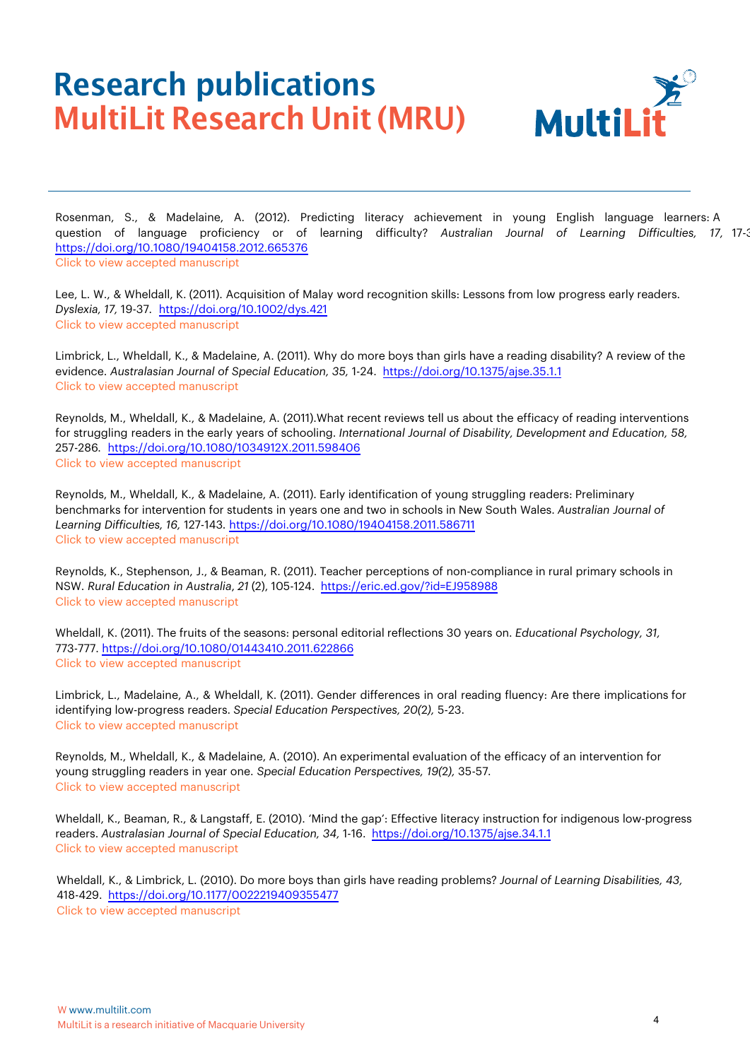

Rosenman, S., & Madelaine, A. (2012). Predicting literacy achievement in young English language learners: A question of language proficiency or of learning difficulty? *Australian Journal of Learning Difficulties, 17,* 17-34. <https://doi.org/10.1080/19404158.2012.665376> [Click to view accepted manuscript](https://multilit-ecomm-media.s3.ap-southeast-2.amazonaws.com/wp-content/uploads/2021/07/14113317/Rosenman-Madelaine-2012-Predicting-literacy-achievement-in-young-English-language-learners.pdf)

Lee, L. W., & Wheldall, K. (2011). Acquisition of Malay [word recognition skills:](https://onlinelibrary.wiley.com/doi/abs/10.1002/dys.421) Lessons from low progress early readers. *Dyslexia, 17,* 19-37*.* <https://doi.org/10.1002/dys.421> [Click to view accepted manuscript](https://multilit-ecomm-media.s3.ap-southeast-2.amazonaws.com/wp-content/uploads/2021/07/14161618/Lee-Wheldall-2011-Acquisition-of-Malay-word-recognition-skills.pdf)

Limbrick, L., Wheldall, K., & Madelaine, A. (2011). Why do more boys than girls have a reading disability? A review of the evidence. *Australasian Journal of Special Education, 35,* [1-24. https://doi.org/10.1375/ajse.35.1.1](https://www.cambridge.org/core/journals/australasian-journal-of-special-education/article/abs/why-do-more-boys-than-girls-have-a-reading-disability-a-review-of-the-evidence/000419EE287438190FC554A2BDB07773) [Click to view accepted manuscript](https://www.cambridge.org/core/journals/australasian-journal-of-special-education/article/abs/why-do-more-boys-than-girls-have-a-reading-disability-a-review-of-the-evidence/000419EE287438190FC554A2BDB07773)

Reynolds, M., Wheldall, K., & Madelaine, A. (2011).What recent reviews tell us about the efficacy of reading interventions for struggling readers in the early years of schooling. *International Journal of Disability, Development and Education, 58,*  257-286*.* <https://doi.org/10.1080/1034912X.2011.598406> [Click to view accepted manuscript](https://multilit-ecomm-media.s3.ap-southeast-2.amazonaws.com/wp-content/uploads/2021/07/14114516/Reynolds-et-al-2011-What-recent-reviews-tell-us.pdf)

Reynolds, M., Wheldall, K., & Madelaine, A. (2011). Early identification of young struggling readers: Preliminary benchmarks for intervention for students in years one and two in schools in New [South Wales.](https://www.tandfonline.com/doi/abs/10.1080/19404158.2011.586711) *Australian Journal of Learning Difficulties, 16,* 127-143*.* <https://doi.org/10.1080/19404158.2011.586711> [Click to view accepted manuscript](https://multilit-ecomm-media.s3.ap-southeast-2.amazonaws.com/wp-content/uploads/2021/07/14162214/Reynolds-et-al-2011-Early-identification-of-struggling-readers.pdf)

Reynolds, K., Stephenson, J., & Beaman, R. (2011). Teacher perceptions of non-compliance in rural primary schools in NSW. *Rural Education in Australia*, *21* (2), [105-124. https://eric.ed.gov/?id=EJ958988](https://www.thefreelibrary.com/Teacher+perceptions+of+non-compliance+in+rural+primary+schools+in+New...-a0275637759) [Click to view a](https://www.thefreelibrary.com/Teacher+perceptions+of+non-compliance+in+rural+primary+schools+in+New...-a0275637759)[ccepted manuscript](https://multilit-ecomm-media.s3.ap-southeast-2.amazonaws.com/wp-content/uploads/2021/07/14115120/Reynolds-et-al-2011-Teacher-perceptions-of-non-compliance.pdf)

Wheldall, K. (2011). The fruits of [the seasons:](https://www.tandfonline.com/doi/abs/10.1080/01443410.2011.622866) personal editorial reflections 30 years on. *Educational Psychology, 31,* 773-777. <https://doi.org/10.1080/01443410.2011.622866> [Click to view accepted manuscript](https://multilit-ecomm-media.s3.ap-southeast-2.amazonaws.com/wp-content/uploads/2021/07/14115335/Wheldall-2011-AM-The-fruits-of-the-seasons.pdf)

Limbrick, L., Madelaine, A., & Wheldall, K. (2011). Gender differences in oral reading fluency: Are there implications for identifying low-progress readers. *Special Education Perspectives, 20(*2*),* 5-23. [Click to view accepted manuscript](https://multilit-ecomm-media.s3.ap-southeast-2.amazonaws.com/wp-content/uploads/2021/07/14115447/Limbrick-et-al-2011-Gender-differences-in-oral-reading-fluency.pdf)

Reynolds, M., Wheldall, K., & Madelaine, A. (2010). An experimental evaluation of the efficacy of an intervention for young struggling readers in year one. *Special Education Perspectives, 19(*2*),* 35-57*.* [Click to view accepted manuscript](https://multilit-ecomm-media.s3.ap-southeast-2.amazonaws.com/wp-content/uploads/2021/07/14120023/Reynolds-et-al-2010-An-experimental-evaluation-of-an-intervention-for-young-struggling-readers-in-Year-1.pdf)

Wheldall, K., Beaman, R., & Langstaff, E. (2010). 'Mind the gap': [Effective literacy](https://www.cambridge.org/core/journals/australasian-journal-of-special-education/article/abs/mind-the-gap-effective-literacy-instruction-for-indigenous-lowprogress-readers/223BAD26DB3BB7EA341061F61F1C52BC) instruction for indigenous low-progress readers. *Austr[alasian Journal](https://journals.sagepub.com/doi/10.1177/0022219409355477) of Special Education, 34,* [1-16.](https://www.cambridge.org/core/journals/australasian-journal-of-special-education/article/abs/mind-the-gap-effective-literacy-instruction-for-indigenous-lowprogress-readers/223BAD26DB3BB7EA341061F61F1C52BC) <https://doi.org/10.1375/ajse.34.1.1> [Click to view accepted manuscript](https://multilit-ecomm-media.s3.ap-southeast-2.amazonaws.com/wp-content/uploads/2021/07/14120250/Wheldall-et-al-2010-Mind-the-gap.pdf)

Wheldall, K., & Limbrick, L. (2010). Do more boys than girls have reading problems? *Journal of Learning Disabilities, 43,*  418-429. <https://doi.org/10.1177/0022219409355477> [Click to view accepted manuscript](https://multilit-ecomm-media.s3.ap-southeast-2.amazonaws.com/wp-content/uploads/2021/07/14120609/Wheldall-Limbrick-2010-Do-more-boys-than-girls-have-reading-problems.pdf)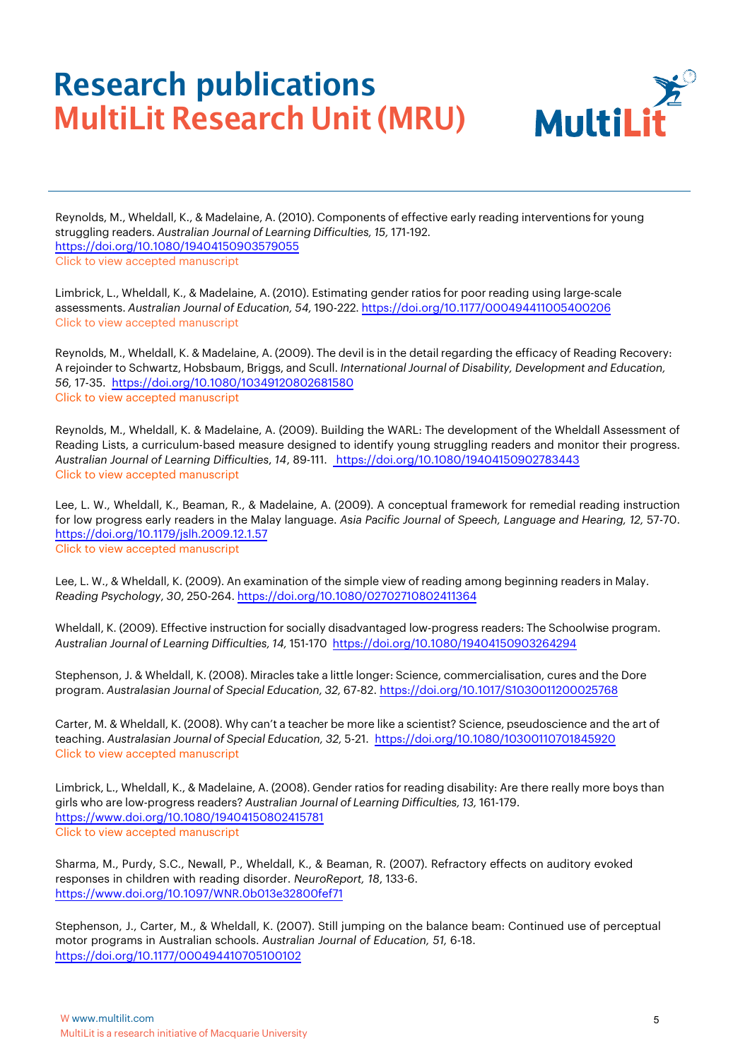

Reynolds, M., Wheldall, K., & Madelaine, A. (2010). Components of effective early reading interventions for young struggling readers. *Australian Journal of Learning Difficulties, 15,* 171-192*.* <https://doi.org/10.1080/19404150903579055> [Click to view accepted manuscript](https://multilit-ecomm-media.s3.ap-southeast-2.amazonaws.com/wp-content/uploads/2021/07/14121444/Reynolds-et-al-2010-Components-of-effective-early-reading-interventions-for-young-struggling-readers.pdf)

Limbrick, L., Wheldall, K., & Madelaine, A. (2010). Estimating gender ratios for poor reading using large-scale assessments. *Australian Journal of Education, 54,* 190-222*.* <https://doi.org/10.1177/000494411005400206> [Click to view accepted manuscript](https://multilit-ecomm-media.s3.ap-southeast-2.amazonaws.com/wp-content/uploads/2021/07/14122219/Limbrick-et-al-2010-Estimating-gender-ratios-of-poor-reading.pdf)

Reynolds, M., Wheldall, K. & Madelaine, A. (2009). The devil is in the detail regarding the efficacy of Reading Recovery: A rejoinder to Schwartz, Hobsbaum, Briggs, and Scull. *[International](https://www.tandfonline.com/doi/full/10.1080/10349120802681580) Journal of Disability, Development and Education, 56,* 17-35. <https://doi.org/10.1080/10349120802681580> [Click to view accepted manuscript](https://multilit-ecomm-media.s3.ap-southeast-2.amazonaws.com/wp-content/uploads/2022/01/06121633/Reynolds-et-al-2009-The-devil-is-in-the-detail.pdf)

Reynolds, M., Wheldall, K. & Madelaine, A. (2009). Building the WARL: The development of the Wheldall Assessment of Reading Lists, a curriculum-based measure designed to identify young struggling readers and monitor their progress. *Australian Journal of Learning Difficulties*, *14*, 89-111. <https://doi.org/10.1080/19404150902783443> [Click to view accepted manuscript](https://multilit-ecomm-media.s3.ap-southeast-2.amazonaws.com/wp-content/uploads/2022/01/06121631/Reynolds-et-al-2009-Building-the-WARL.pdf)

Lee, L. W., Wheldall, K., Beaman, R., & Madelaine, A. (2009). A conceptual framework for remedial reading instruction for low [progress early readers in the Malay language.](https://www.tandfonline.com/doi/abs/10.1179/jslh.2009.12.1.57) *Asia Pacific Journal of Speech, Language and Hearing, 12,* 57-70. <https://doi.org/10.1179/jslh.2009.12.1.57> [Click to view accepted manuscript](https://multilit-ecomm-media.s3.ap-southeast-2.amazonaws.com/wp-content/uploads/2022/01/06121623/Lee-Wheldall-2009-AM-A-conceptual-framework.pdf)

Lee, L. W., & Wheldall, K. (2009). An examination of the simple view of reading among beginning readers in Malay. *Reading Psychology*, *30*, 250-264. <https://doi.org/10.1080/02702710802411364>

Wheldall, K. (2009). Effective instruction for socially disadvantaged low-progress readers: The Schoolwise program. *Australian Journal of Learning Difficulties, 14,* [151-170](https://www.tandfonline.com/doi/abs/10.1080/19404150903264294) <https://doi.org/10.1080/19404150903264294>

Stephenson, J. & Wheldall, K. (2008). Miracles take a little longer: Science, commercialisation, cures and the Dore program. *Australasian Journal of Special Education, 32,* 67-82. <https://doi.org/10.1017/S1030011200025768>

Carter, M. & Wheldall, K. (2008). Why can't a teacher be more like a scientist? Science, [pseudoscience](https://www.cambridge.org/core/journals/australasian-journal-of-special-education/article/abs/miracles-take-a-little-longer-science-commercialisation-cures-and-the-dore-program/2BAD4747448EEFCCA7A00CEDF483C806) and the art of teaching. *Australasian Journal of Special Education, 32,* [5-21.](https://www.cambridge.org/core/journals/australasian-journal-of-special-education/article/abs/miracles-take-a-little-longer-science-commercialisation-cures-and-the-dore-program/2BAD4747448EEFCCA7A00CEDF483C806) <https://doi.org/10.1080/10300110701845920> [Click to view accepted manuscript](https://multilit-ecomm-media.s3.ap-southeast-2.amazonaws.com/wp-content/uploads/2022/01/06121622/Carter-Wheldall-2008-AM-Why-cant-a-teacher-be-more-like-a-scientist.pdf)

Limbrick, L., Wheldall, K., & Madelaine, A. (2008). Gender ratios for reading disability: Are there really more boys than girls who are [low-progress readers?](https://www.tandfonline.com/doi/abs/10.1080/10300110701845920) *Australian Journal of Learning Difficulties, 13,* 161-179. <https://www.doi.org/10.1080/19404150802415781> [Click to view accepted manuscript](https://multilit-ecomm-media.s3.ap-southeast-2.amazonaws.com/wp-content/uploads/2022/01/06121625/Limbrick-et-al-2008-AM-Gender-ratios.pdf)

[Sharma, M., Purdy, S.C., Newall, P., Wheldall, K., & Beaman, R. \(2007\). R](https://www.tandfonline.com/doi/abs/10.1080/19404150802415781)efractory effects on auditory evoked responses in children with reading disorder. *NeuroReport, 18*, 133-6. <https://www.doi.org/10.1097/WNR.0b013e32800fef71>

Stephenson, J., Carter, M., & Wheldall, K. (2007). Still jumping on the balance beam: Continued use of perceptual motor programs in Australian schools. *Australian Journal of Education, 51,* 6-18. <https://doi.org/10.1177/000494410705100102>